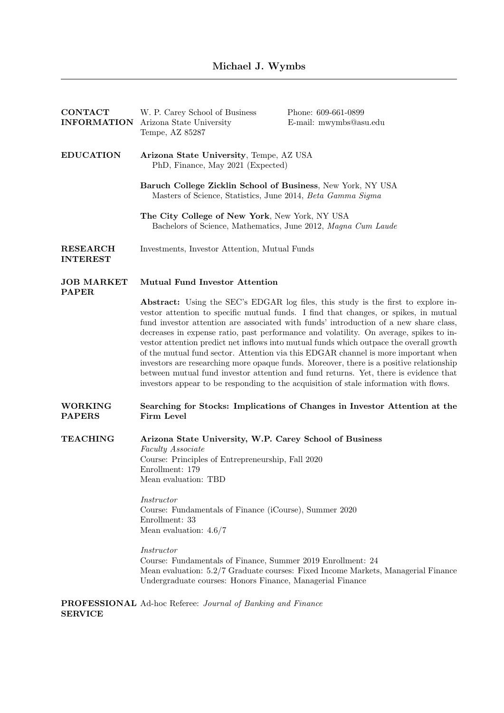| <b>CONTACT</b><br><b>INFORMATION</b> | W. P. Carey School of Business<br>Arizona State University<br>Tempe, AZ 85287                                                                                                                                                                                                                                                                                                                                                                                                                                                            | Phone: 609-661-0899<br>E-mail: mwymbs@asu.edu                                                                                                                                                                                                                                                                                                                                                                                                                                                                                                                                                                                                                                                                                                                                                                                    |  |
|--------------------------------------|------------------------------------------------------------------------------------------------------------------------------------------------------------------------------------------------------------------------------------------------------------------------------------------------------------------------------------------------------------------------------------------------------------------------------------------------------------------------------------------------------------------------------------------|----------------------------------------------------------------------------------------------------------------------------------------------------------------------------------------------------------------------------------------------------------------------------------------------------------------------------------------------------------------------------------------------------------------------------------------------------------------------------------------------------------------------------------------------------------------------------------------------------------------------------------------------------------------------------------------------------------------------------------------------------------------------------------------------------------------------------------|--|
| <b>EDUCATION</b>                     | Arizona State University, Tempe, AZ USA<br>PhD, Finance, May 2021 (Expected)                                                                                                                                                                                                                                                                                                                                                                                                                                                             |                                                                                                                                                                                                                                                                                                                                                                                                                                                                                                                                                                                                                                                                                                                                                                                                                                  |  |
|                                      | Baruch College Zicklin School of Business, New York, NY USA<br>Masters of Science, Statistics, June 2014, Beta Gamma Sigma                                                                                                                                                                                                                                                                                                                                                                                                               |                                                                                                                                                                                                                                                                                                                                                                                                                                                                                                                                                                                                                                                                                                                                                                                                                                  |  |
|                                      | The City College of New York, New York, NY USA<br>Bachelors of Science, Mathematics, June 2012, Magna Cum Laude                                                                                                                                                                                                                                                                                                                                                                                                                          |                                                                                                                                                                                                                                                                                                                                                                                                                                                                                                                                                                                                                                                                                                                                                                                                                                  |  |
| <b>RESEARCH</b><br><b>INTEREST</b>   | Investments, Investor Attention, Mutual Funds                                                                                                                                                                                                                                                                                                                                                                                                                                                                                            |                                                                                                                                                                                                                                                                                                                                                                                                                                                                                                                                                                                                                                                                                                                                                                                                                                  |  |
| <b>JOB MARKET</b><br><b>PAPER</b>    | <b>Mutual Fund Investor Attention</b>                                                                                                                                                                                                                                                                                                                                                                                                                                                                                                    |                                                                                                                                                                                                                                                                                                                                                                                                                                                                                                                                                                                                                                                                                                                                                                                                                                  |  |
|                                      |                                                                                                                                                                                                                                                                                                                                                                                                                                                                                                                                          | <b>Abstract:</b> Using the SEC's EDGAR log files, this study is the first to explore in-<br>vestor attention to specific mutual funds. I find that changes, or spikes, in mutual<br>fund investor attention are associated with funds' introduction of a new share class,<br>decreases in expense ratio, past performance and volatility. On average, spikes to in-<br>vestor attention predict net inflows into mutual funds which outpace the overall growth<br>of the mutual fund sector. Attention via this EDGAR channel is more important when<br>investors are researching more opaque funds. Moreover, there is a positive relationship<br>between mutual fund investor attention and fund returns. Yet, there is evidence that<br>investors appear to be responding to the acquisition of stale information with flows. |  |
| <b>WORKING</b><br><b>PAPERS</b>      | Searching for Stocks: Implications of Changes in Investor Attention at the<br>Firm Level                                                                                                                                                                                                                                                                                                                                                                                                                                                 |                                                                                                                                                                                                                                                                                                                                                                                                                                                                                                                                                                                                                                                                                                                                                                                                                                  |  |
| <b>TEACHING</b>                      | Arizona State University, W.P. Carey School of Business<br>Faculty Associate<br>Course: Principles of Entrepreneurship, Fall 2020<br>Enrollment: 179<br>Mean evaluation: TBD<br>Instructor<br>Course: Fundamentals of Finance (iCourse), Summer 2020<br>Enrollment: 33<br>Mean evaluation: $4.6/7$<br><i>Instructor</i><br>Course: Fundamentals of Finance, Summer 2019 Enrollment: 24<br>Mean evaluation: 5.2/7 Graduate courses: Fixed Income Markets, Managerial Finance<br>Undergraduate courses: Honors Finance, Managerial Finance |                                                                                                                                                                                                                                                                                                                                                                                                                                                                                                                                                                                                                                                                                                                                                                                                                                  |  |
|                                      | <b>PROFESSIONAL</b> Ad-hoc Referee: Journal of Banking and Finance                                                                                                                                                                                                                                                                                                                                                                                                                                                                       |                                                                                                                                                                                                                                                                                                                                                                                                                                                                                                                                                                                                                                                                                                                                                                                                                                  |  |

SERVICE